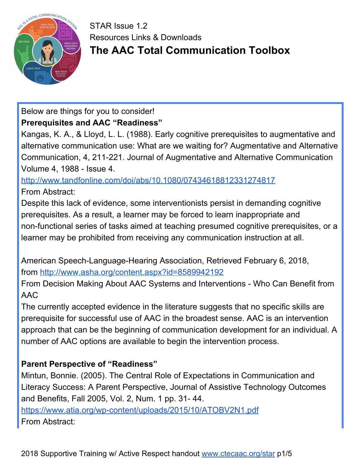

# Below are things for you to consider!

## **Prerequisites and AAC "Readiness"**

Kangas, K. A., & Lloyd, L. L. (1988). Early cognitive prerequisites to augmentative and alternative communication use: What are we waiting for? Augmentative and Alternative Communication, 4, 211-221. Journal of Augmentative and Alternative Communication Volume 4, 1988 - Issue 4.

<http://www.tandfonline.com/doi/abs/10.1080/07434618812331274817> From Abstract:

Despite this lack of evidence, some interventionists persist in demanding cognitive prerequisites. As a result, a learner may be forced to learn inappropriate and non-functional series of tasks aimed at teaching presumed cognitive prerequisites, or a learner may be prohibited from receiving any communication instruction at all.

American Speech-Language-Hearing Association, Retrieved February 6, 2018, from <http://www.asha.org/content.aspx?id=8589942192>

From Decision Making About AAC Systems and Interventions - Who Can Benefit from AAC

The currently accepted evidence in the literature suggests that no specific skills are prerequisite for successful use of AAC in the broadest sense. AAC is an intervention approach that can be the beginning of communication development for an individual. A number of AAC options are available to begin the intervention process.

## **Parent Perspective of "Readiness"**

Mintun, Bonnie. (2005). The Central Role of Expectations in Communication and Literacy Success: A Parent Perspective, Journal of Assistive Technology Outcomes and Benefits, Fall 2005, Vol. 2, Num. 1 pp. 31- 44. <https://www.atia.org/wp-content/uploads/2015/10/ATOBV2N1.pdf> From Abstract: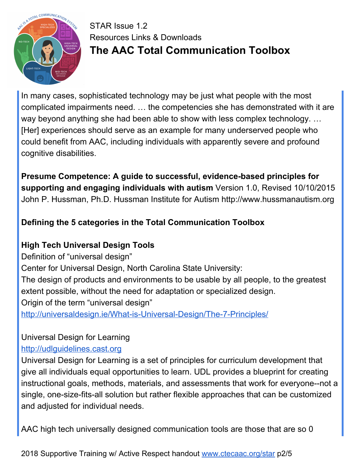

In many cases, sophisticated technology may be just what people with the most complicated impairments need. … the competencies she has demonstrated with it are way beyond anything she had been able to show with less complex technology. … [Her] experiences should serve as an example for many underserved people who could benefit from AAC, including individuals with apparently severe and profound cognitive disabilities.

**Presume Competence: A guide to successful, evidence-based principles for supporting and engaging individuals with autism** Version 1.0, Revised 10/10/2015 John P. Hussman, Ph.D. Hussman Institute for Autism http://www.hussmanautism.org

## **Defining the 5 categories in the Total Communication Toolbox**

# **High Tech Universal Design Tools**

Definition of "universal design" Center for Universal Design, North Carolina State University: The design of products and environments to be usable by all people, to the greatest extent possible, without the need for adaptation or specialized design. Origin of the term "universal design" <http://universaldesign.ie/What-is-Universal-Design/The-7-Principles/>

## Universal Design for Learning

## [http://udlguidelines.cast.org](http://udlguidelines.cast.org/)

Universal Design for Learning is a set of principles for curriculum development that give all individuals equal opportunities to learn. UDL provides a blueprint for creating instructional goals, methods, materials, and assessments that work for everyone--not a single, one-size-fits-all solution but rather flexible approaches that can be customized and adjusted for individual needs.

AAC high tech universally designed communication tools are those that are so 0

2018 Supportive Training w/ Active Respect handout [www.ctecaac.org/star](http://www.ctecaac.org/star) p2/5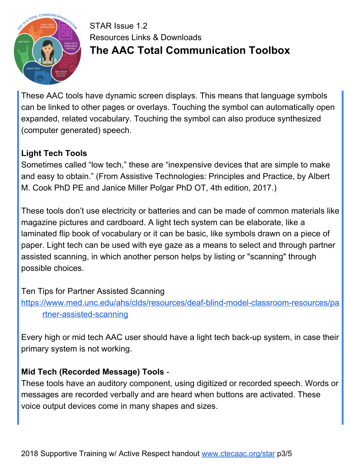

These AAC tools have dynamic screen displays. This means that language symbols can be linked to other pages or overlays. Touching the symbol can automatically open expanded, related vocabulary. Touching the symbol can also produce synthesized (computer generated) speech.

#### **Light Tech Tools**

Sometimes called "low tech," these are "inexpensive devices that are simple to make and easy to obtain." (From Assistive Technologies: Principles and Practice, by Albert M. Cook PhD PE and Janice Miller Polgar PhD OT, 4th edition, 2017.)

These tools don't use electricity or batteries and can be made of common materials like magazine pictures and cardboard. A light tech system can be elaborate, like a laminated flip book of vocabulary or it can be basic, like symbols drawn on a piece of paper. Light tech can be used with eye gaze as a means to select and through partner assisted scanning, in which another person helps by listing or "scanning" through possible choices.

Ten Tips for Partner Assisted Scanning

[https://www.med.unc.edu/ahs/clds/resources/deaf-blind-model-classroom-resources/pa](https://www.med.unc.edu/ahs/clds/resources/deaf-blind-model-classroom-resources/partner-assisted-scanning) [rtner-assisted-scanning](https://www.med.unc.edu/ahs/clds/resources/deaf-blind-model-classroom-resources/partner-assisted-scanning)

Every high or mid tech AAC user should have a light tech back-up system, in case their primary system is not working.

#### **Mid Tech (Recorded Message) Tools** -

These tools have an auditory component, using digitized or recorded speech. Words or messages are recorded verbally and are heard when buttons are activated. These voice output devices come in many shapes and sizes.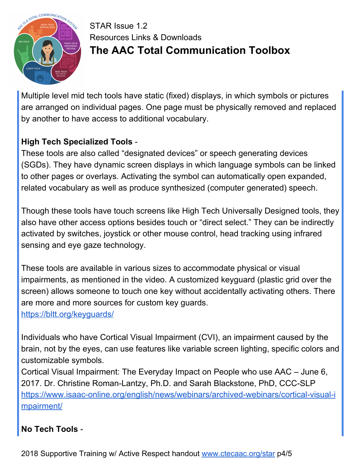

Multiple level mid tech tools have static (fixed) displays, in which symbols or pictures are arranged on individual pages. One page must be physically removed and replaced by another to have access to additional vocabulary.

#### **High Tech Specialized Tools** -

These tools are also called "designated devices" or speech generating devices (SGDs). They have dynamic screen displays in which language symbols can be linked to other pages or overlays. Activating the symbol can automatically open expanded, related vocabulary as well as produce synthesized (computer generated) speech.

Though these tools have touch screens like High Tech Universally Designed tools, they also have other access options besides touch or "direct select." They can be indirectly activated by switches, joystick or other mouse control, head tracking using infrared sensing and eye gaze technology.

These tools are available in various sizes to accommodate physical or visual impairments, as mentioned in the video. A customized keyguard (plastic grid over the screen) allows someone to touch one key without accidentally activating others. There are more and more sources for custom key guards.

<https://bltt.org/keyguards/>

Individuals who have Cortical Visual Impairment (CVI), an impairment caused by the brain, not by the eyes, can use features like variable screen lighting, specific colors and customizable symbols.

Cortical Visual Impairment: The Everyday Impact on People who use AAC – June 6, 2017. Dr. Christine Roman-Lantzy, Ph.D. and Sarah Blackstone, PhD, CCC-SLP [https://www.isaac-online.org/english/news/webinars/archived-webinars/cortical-visual-i](https://www.isaac-online.org/english/news/webinars/archived-webinars/cortical-visual-impairment/) [mpairment/](https://www.isaac-online.org/english/news/webinars/archived-webinars/cortical-visual-impairment/)

#### **No Tech Tools** -

2018 Supportive Training w/ Active Respect handout [www.ctecaac.org/star](http://www.ctecaac.org/star) p4/5